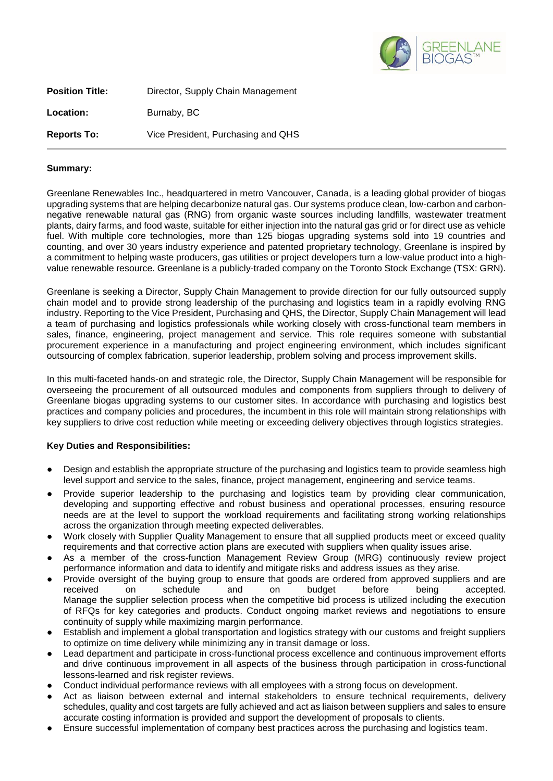

| <b>Position Title:</b> | Director, Supply Chain Management  |
|------------------------|------------------------------------|
| Location:              | Burnaby, BC                        |
| <b>Reports To:</b>     | Vice President, Purchasing and QHS |

## **Summary:**

Greenlane Renewables Inc., headquartered in metro Vancouver, Canada, is a leading global provider of biogas upgrading systems that are helping decarbonize natural gas. Our systems produce clean, low-carbon and carbonnegative renewable natural gas (RNG) from organic waste sources including landfills, wastewater treatment plants, dairy farms, and food waste, suitable for either injection into the natural gas grid or for direct use as vehicle fuel. With multiple core technologies, more than 125 biogas upgrading systems sold into 19 countries and counting, and over 30 years industry experience and patented proprietary technology, Greenlane is inspired by a commitment to helping waste producers, gas utilities or project developers turn a low-value product into a highvalue renewable resource. Greenlane is a publicly-traded company on the Toronto Stock Exchange (TSX: GRN).

Greenlane is seeking a Director, Supply Chain Management to provide direction for our fully outsourced supply chain model and to provide strong leadership of the purchasing and logistics team in a rapidly evolving RNG industry. Reporting to the Vice President, Purchasing and QHS, the Director, Supply Chain Management will lead a team of purchasing and logistics professionals while working closely with cross-functional team members in sales, finance, engineering, project management and service. This role requires someone with substantial procurement experience in a manufacturing and project engineering environment, which includes significant outsourcing of complex fabrication, superior leadership, problem solving and process improvement skills.

In this multi-faceted hands-on and strategic role, the Director, Supply Chain Management will be responsible for overseeing the procurement of all outsourced modules and components from suppliers through to delivery of Greenlane biogas upgrading systems to our customer sites. In accordance with purchasing and logistics best practices and company policies and procedures, the incumbent in this role will maintain strong relationships with key suppliers to drive cost reduction while meeting or exceeding delivery objectives through logistics strategies.

## **Key Duties and Responsibilities:**

- Design and establish the appropriate structure of the purchasing and logistics team to provide seamless high level support and service to the sales, finance, project management, engineering and service teams.
- Provide superior leadership to the purchasing and logistics team by providing clear communication, developing and supporting effective and robust business and operational processes, ensuring resource needs are at the level to support the workload requirements and facilitating strong working relationships across the organization through meeting expected deliverables.
- Work closely with Supplier Quality Management to ensure that all supplied products meet or exceed quality requirements and that corrective action plans are executed with suppliers when quality issues arise.
- As a member of the cross-function Management Review Group (MRG) continuously review project performance information and data to identify and mitigate risks and address issues as they arise.
- Provide oversight of the buying group to ensure that goods are ordered from approved suppliers and are received on schedule and on budget before being accepted. received on schedule and on budget before being accepted. Manage the supplier selection process when the competitive bid process is utilized including the execution of RFQs for key categories and products. Conduct ongoing market reviews and negotiations to ensure continuity of supply while maximizing margin performance.
- Establish and implement a global transportation and logistics strategy with our customs and freight suppliers to optimize on time delivery while minimizing any in transit damage or loss.
- Lead department and participate in cross-functional process excellence and continuous improvement efforts and drive continuous improvement in all aspects of the business through participation in cross-functional lessons-learned and risk register reviews.
- Conduct individual performance reviews with all employees with a strong focus on development.
- Act as liaison between external and internal stakeholders to ensure technical requirements, delivery schedules, quality and cost targets are fully achieved and act as liaison between suppliers and sales to ensure accurate costing information is provided and support the development of proposals to clients.
- Ensure successful implementation of company best practices across the purchasing and logistics team.